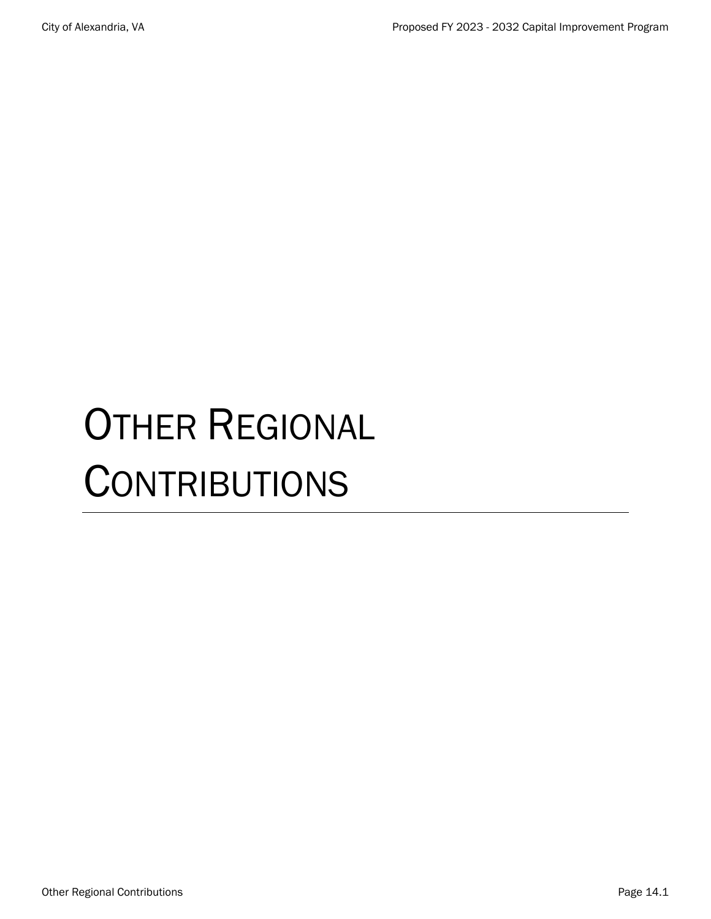# OTHER REGIONAL **CONTRIBUTIONS**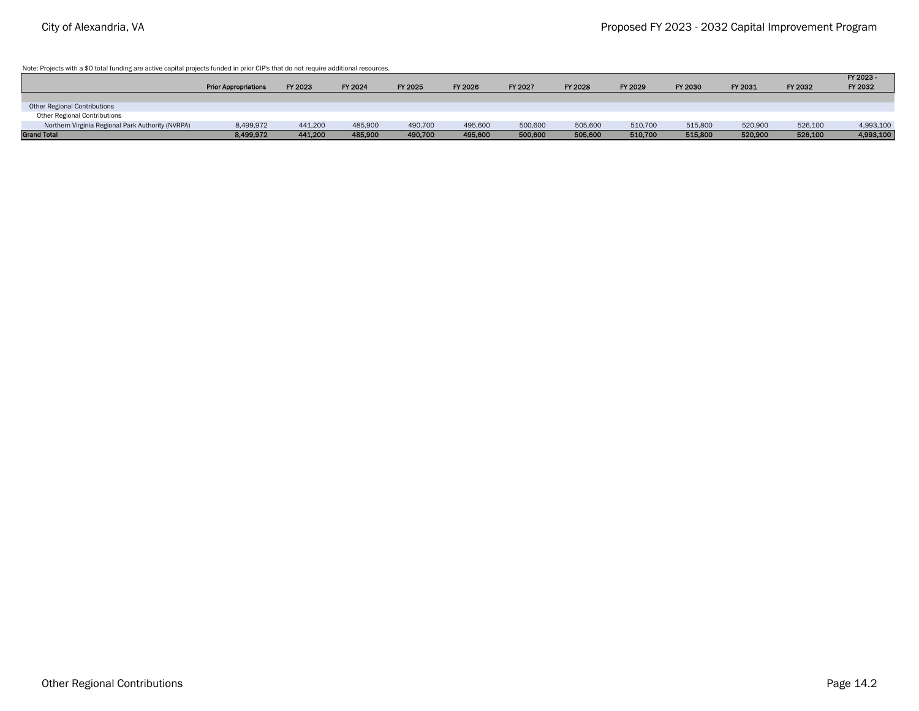Note: Projects with a \$0 total funding are active capital projects funded in prior CIP's that do not require additional resources.

|                                                   |                             |         |         |         |         |         |         |         |         |         |         | FY 2023 - |
|---------------------------------------------------|-----------------------------|---------|---------|---------|---------|---------|---------|---------|---------|---------|---------|-----------|
|                                                   | <b>Prior Appropriations</b> | FY 2023 | FY 2024 | FY 2025 | FY 2026 | FY 2027 | FY 2028 | FY 2029 | FY 2030 | FY 2031 | FY 2032 | FY 2032   |
|                                                   |                             |         |         |         |         |         |         |         |         |         |         |           |
| Other Regional Contributions                      |                             |         |         |         |         |         |         |         |         |         |         |           |
| Other Regional Contributions                      |                             |         |         |         |         |         |         |         |         |         |         |           |
| Northern Virginia Regional Park Authority (NVRPA) | 8,499,972                   | 441,200 | 485,900 | 490,700 | 495,600 | 500,600 | 505,600 | 510,700 | 515,800 | 520,900 | 526,100 | 4,993,100 |
| <b>Grand Total</b>                                | 8,499,972                   | 441,200 | 485,900 | 490,700 | 495,600 | 500,600 | 505,600 | 510,700 | 515,800 | 520,900 | 526,100 | 4,993,100 |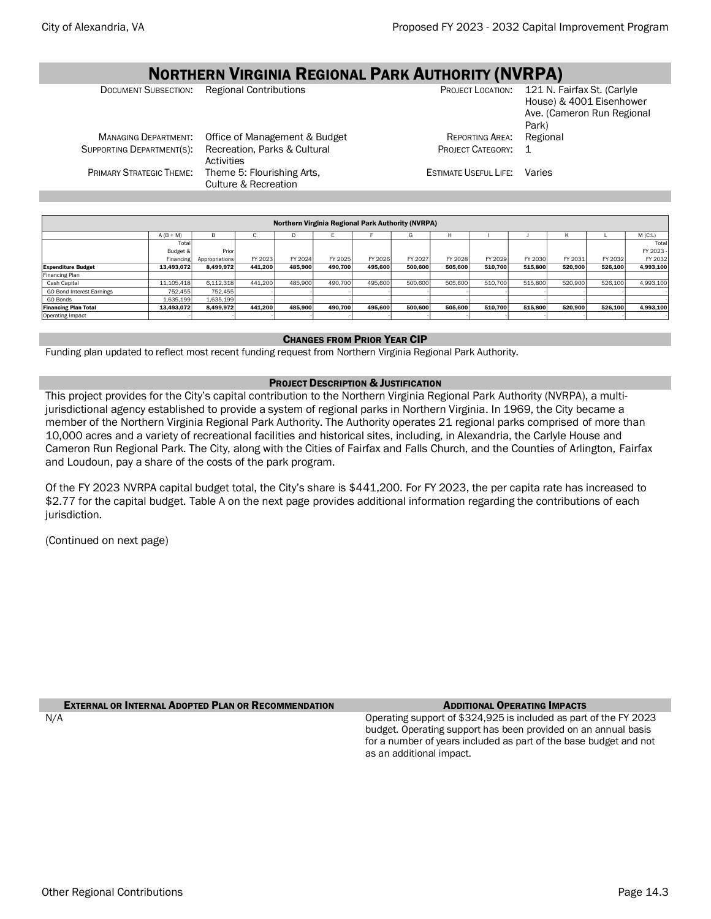#### NORTHERN VIRGINIA REGIONAL PARK AUTHORITY (NVRPA) DOCUMENT SUBSECTION: Regional Contributions PROJECT LOCATION: 121 N. Fairfax St. (Carlyle House) & 4001 Eisenhower Ave. (Cameron Run Regional Park) MANAGING DEPARTMENT: Office of Management & Budget REPORTING AREA: Regional SUPPORTING DEPARTMENT(S): Recreation, Parks & Cultural Activities PROJECT CATEGORY: 1 PRIMARY STRATEGIC THEME: Theme 5: Flourishing Arts, Culture & Recreation ESTIMATE USEFUL LIFE: Varies

| <b>Northern Virginia Regional Park Authority (NVRPA)</b> |             |                |         |         |         |         |         |         |         |         |         |         |           |
|----------------------------------------------------------|-------------|----------------|---------|---------|---------|---------|---------|---------|---------|---------|---------|---------|-----------|
|                                                          | $A (B + M)$ | в              | G       | D       |         |         | G       | н       |         |         | K       |         | M(C:L)    |
|                                                          | Total       |                |         |         |         |         |         |         |         |         |         |         | Total     |
|                                                          | Budget &    | Prior          |         |         |         |         |         |         |         |         |         |         | FY 2023   |
|                                                          | Financing   | Appropriations | FY 2023 | FY 2024 | FY 2025 | FY 2026 | FY 2027 | FY 2028 | FY 2029 | FY 2030 | FY 2031 | FY 2032 | FY 2032   |
| <b>Expenditure Budget</b>                                | 13,493,072  | 8,499,972      | 441,200 | 485,900 | 490.700 | 495,600 | 500,600 | 505.600 | 510.700 | 515,800 | 520,900 | 526,100 | 4,993,100 |
| Financing Plan                                           |             |                |         |         |         |         |         |         |         |         |         |         |           |
| Cash Capital                                             | 11,105,418  | 6,112,318      | 441.200 | 485.900 | 490.700 | 495,600 | 500,600 | 505,600 | 510,700 | 515,800 | 520,900 | 526,100 | 4,993,100 |
| GO Bond Interest Earnings                                | 752.455     | 752,455        |         |         |         |         |         |         |         |         |         |         |           |
| GO Bonds                                                 | 1,635,199   | 1,635,199      |         |         |         |         |         |         |         |         |         |         |           |
| <b>Financing Plan Total</b>                              | 13,493,072  | 8,499,972      | 441,200 | 485,900 | 490.700 | 495.600 | 500,600 | 505.600 | 510.700 | 515,800 | 520,900 | 526,100 | 4,993,100 |
| <b>Operating Impact</b>                                  |             |                |         |         |         |         |         |         |         |         |         |         |           |
|                                                          |             |                |         |         |         |         |         |         |         |         |         |         |           |

### CHANGES FROM PRIOR YEAR CIP

Funding plan updated to reflect most recent funding request from Northern Virginia Regional Park Authority.

### PROJECT DESCRIPTION & JUSTIFICATION

This project provides for the City's capital contribution to the Northern Virginia Regional Park Authority (NVRPA), a multijurisdictional agency established to provide a system of regional parks in Northern Virginia. In 1969, the City became a member of the Northern Virginia Regional Park Authority. The Authority operates 21 regional parks comprised of more than 10,000 acres and a variety of recreational facilities and historical sites, including, in Alexandria, the Carlyle House and Cameron Run Regional Park. The City, along with the Cities of Fairfax and Falls Church, and the Counties of Arlington, Fairfax and Loudoun, pay a share of the costs of the park program.

Of the FY 2023 NVRPA capital budget total, the City's share is \$441,200. For FY 2023, the per capita rate has increased to \$2.77 for the capital budget. Table A on the next page provides additional information regarding the contributions of each jurisdiction.

(Continued on next page)

# **EXTERNAL OR INTERNAL ADOPTED PLAN OR RECOMMENDATION** ADDITIONAL **OPERATING IMPACTS**

N/A Operating support of \$324,925 is included as part of the FY 2023 budget. Operating support has been provided on an annual basis for a number of years included as part of the base budget and not as an additional impact.